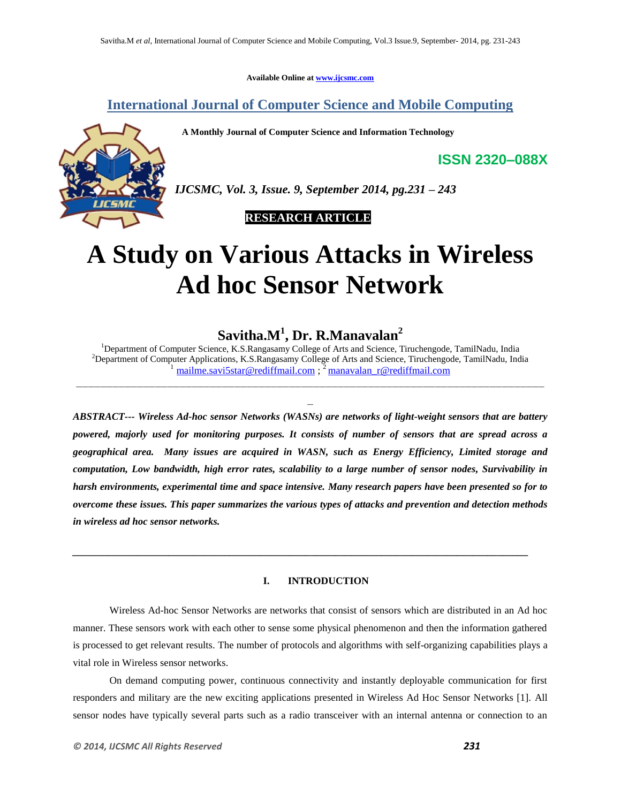**Available Online at www.ijcsmc.com**

**International Journal of Computer Science and Mobile Computing**

 **A Monthly Journal of Computer Science and Information Technology**



*IJCSMC, Vol. 3, Issue. 9, September 2014, pg.231 – 243*

 **RESEARCH ARTICLE**

# **A Study on Various Attacks in Wireless Ad hoc Sensor Network**

**Savitha.M<sup>1</sup> , Dr. R.Manavalan<sup>2</sup>**

<sup>1</sup>Department of Computer Science, K.S.Rangasamy College of Arts and Science, Tiruchengode, TamilNadu, India <sup>2</sup>Department of Computer Applications, K.S.Rangasamy College of Arts and Science, Tiruchengode, TamilNadu, India mailme.savi5star@rediffmail.com ; <sup>2</sup> manavalan\_r@rediffmail.com

*ABSTRACT--- Wireless Ad-hoc sensor Networks (WASNs) are networks of light-weight sensors that are battery powered, majorly used for monitoring purposes. It consists of number of sensors that are spread across a geographical area. Many issues are acquired in WASN, such as Energy Efficiency, Limited storage and computation, Low bandwidth, high error rates, scalability to a large number of sensor nodes, Survivability in harsh environments, experimental time and space intensive. Many research papers have been presented so for to overcome these issues. This paper summarizes the various types of attacks and prevention and detection methods in wireless ad hoc sensor networks.*

### **I. INTRODUCTION**

*\_\_\_\_\_\_\_\_\_\_\_\_\_\_\_\_\_\_\_\_\_\_\_\_\_\_\_\_\_\_\_\_\_\_\_\_\_\_\_\_\_\_\_\_\_\_\_\_\_\_\_\_\_\_\_\_\_\_\_\_\_\_\_\_\_\_\_\_\_\_\_\_\_\_\_\_\_\_\_\_\_\_\_\_\_\_\_\_\_\_*

Wireless Ad-hoc Sensor Networks are networks that consist of sensors which are distributed in an Ad hoc manner. These sensors work with each other to sense some physical phenomenon and then the information gathered is processed to get relevant results. The number of protocols and algorithms with self-organizing capabilities plays a vital role in Wireless sensor networks.

On demand computing power, continuous connectivity and instantly deployable communication for first responders and military are the new exciting applications presented in Wireless Ad Hoc Sensor Networks [1]. All sensor nodes have typically several parts such as a radio transceiver with an internal antenna or connection to an

**ISSN 2320–088X**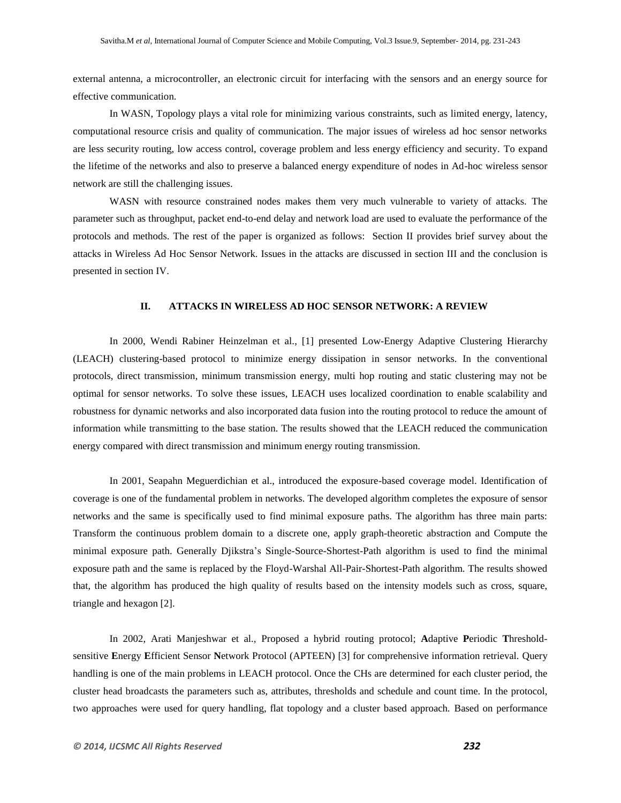external antenna, a microcontroller, an electronic circuit for interfacing with the sensors and an energy source for effective communication.

In WASN, Topology plays a vital role for minimizing various constraints, such as limited energy, latency, computational resource crisis and quality of communication. The major issues of wireless ad hoc sensor networks are less security routing, low access control, coverage problem and less energy efficiency and security. To expand the lifetime of the networks and also to preserve a balanced energy expenditure of nodes in Ad-hoc wireless sensor network are still the challenging issues.

WASN with resource constrained nodes makes them very much vulnerable to variety of attacks. The parameter such as throughput, packet end-to-end delay and network load are used to evaluate the performance of the protocols and methods. The rest of the paper is organized as follows: Section II provides brief survey about the attacks in Wireless Ad Hoc Sensor Network. Issues in the attacks are discussed in section III and the conclusion is presented in section IV.

### **II. ATTACKS IN WIRELESS AD HOC SENSOR NETWORK: A REVIEW**

In 2000, Wendi Rabiner Heinzelman et al., [1] presented Low-Energy Adaptive Clustering Hierarchy (LEACH) clustering-based protocol to minimize energy dissipation in sensor networks. In the conventional protocols, direct transmission, minimum transmission energy, multi hop routing and static clustering may not be optimal for sensor networks. To solve these issues, LEACH uses localized coordination to enable scalability and robustness for dynamic networks and also incorporated data fusion into the routing protocol to reduce the amount of information while transmitting to the base station. The results showed that the LEACH reduced the communication energy compared with direct transmission and minimum energy routing transmission.

In 2001, Seapahn Meguerdichian et al., introduced the exposure-based coverage model. Identification of coverage is one of the fundamental problem in networks. The developed algorithm completes the exposure of sensor networks and the same is specifically used to find minimal exposure paths. The algorithm has three main parts: Transform the continuous problem domain to a discrete one, apply graph-theoretic abstraction and Compute the minimal exposure path. Generally Djikstra's Single-Source-Shortest-Path algorithm is used to find the minimal exposure path and the same is replaced by the Floyd-Warshal All-Pair-Shortest-Path algorithm. The results showed that, the algorithm has produced the high quality of results based on the intensity models such as cross, square, triangle and hexagon [2].

In 2002, Arati Manjeshwar et al., Proposed a hybrid routing protocol; **A**daptive **P**eriodic **T**hresholdsensitive **E**nergy **E**fficient Sensor **N**etwork Protocol (APTEEN) [3] for comprehensive information retrieval. Query handling is one of the main problems in LEACH protocol. Once the CHs are determined for each cluster period, the cluster head broadcasts the parameters such as, attributes, thresholds and schedule and count time. In the protocol, two approaches were used for query handling, flat topology and a cluster based approach. Based on performance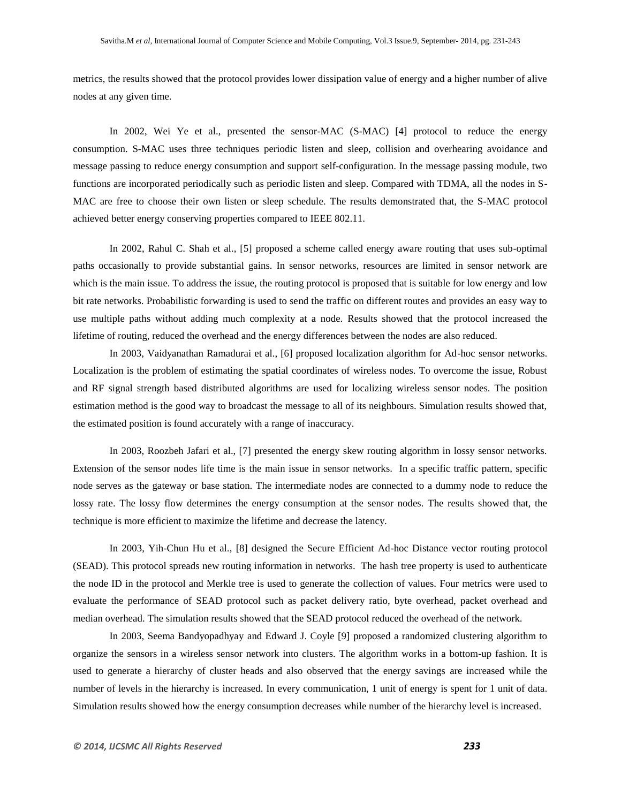metrics, the results showed that the protocol provides lower dissipation value of energy and a higher number of alive nodes at any given time.

In 2002, Wei Ye et al., presented the sensor-MAC (S-MAC) [4] protocol to reduce the energy consumption. S-MAC uses three techniques periodic listen and sleep, collision and overhearing avoidance and message passing to reduce energy consumption and support self-configuration. In the message passing module, two functions are incorporated periodically such as periodic listen and sleep. Compared with TDMA, all the nodes in S-MAC are free to choose their own listen or sleep schedule. The results demonstrated that, the S-MAC protocol achieved better energy conserving properties compared to IEEE 802.11.

In 2002, Rahul C. Shah et al., [5] proposed a scheme called energy aware routing that uses sub-optimal paths occasionally to provide substantial gains. In sensor networks, resources are limited in sensor network are which is the main issue. To address the issue, the routing protocol is proposed that is suitable for low energy and low bit rate networks. Probabilistic forwarding is used to send the traffic on different routes and provides an easy way to use multiple paths without adding much complexity at a node. Results showed that the protocol increased the lifetime of routing, reduced the overhead and the energy differences between the nodes are also reduced.

In 2003, Vaidyanathan Ramadurai et al., [6] proposed localization algorithm for Ad-hoc sensor networks. Localization is the problem of estimating the spatial coordinates of wireless nodes. To overcome the issue, Robust and RF signal strength based distributed algorithms are used for localizing wireless sensor nodes. The position estimation method is the good way to broadcast the message to all of its neighbours. Simulation results showed that, the estimated position is found accurately with a range of inaccuracy.

In 2003, Roozbeh Jafari et al., [7] presented the energy skew routing algorithm in lossy sensor networks. Extension of the sensor nodes life time is the main issue in sensor networks. In a specific traffic pattern, specific node serves as the gateway or base station. The intermediate nodes are connected to a dummy node to reduce the lossy rate. The lossy flow determines the energy consumption at the sensor nodes. The results showed that, the technique is more efficient to maximize the lifetime and decrease the latency.

In 2003, Yih-Chun Hu et al., [8] designed the Secure Efficient Ad-hoc Distance vector routing protocol (SEAD). This protocol spreads new routing information in networks. The hash tree property is used to authenticate the node ID in the protocol and Merkle tree is used to generate the collection of values. Four metrics were used to evaluate the performance of SEAD protocol such as packet delivery ratio, byte overhead, packet overhead and median overhead. The simulation results showed that the SEAD protocol reduced the overhead of the network.

In 2003, Seema Bandyopadhyay and Edward J. Coyle [9] proposed a randomized clustering algorithm to organize the sensors in a wireless sensor network into clusters. The algorithm works in a bottom-up fashion. It is used to generate a hierarchy of cluster heads and also observed that the energy savings are increased while the number of levels in the hierarchy is increased. In every communication, 1 unit of energy is spent for 1 unit of data. Simulation results showed how the energy consumption decreases while number of the hierarchy level is increased.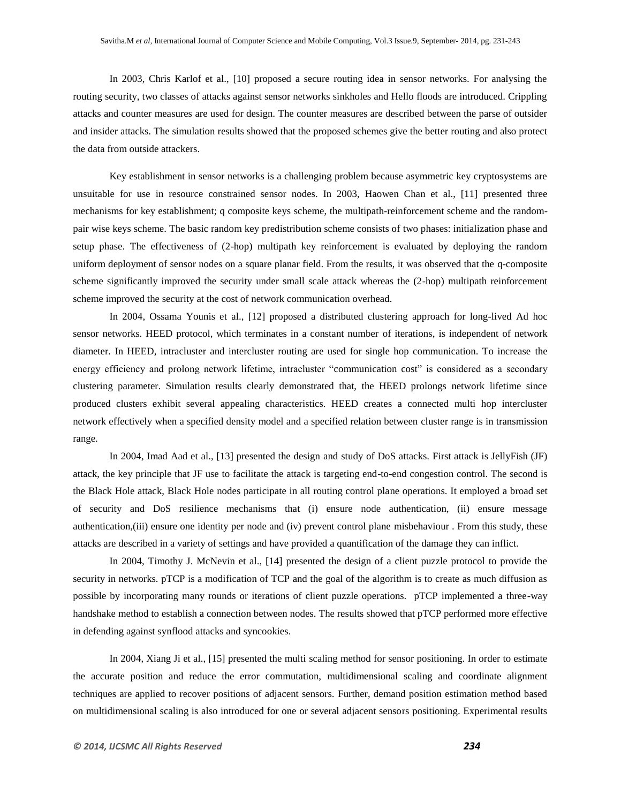In 2003, Chris Karlof et al., [10] proposed a secure routing idea in sensor networks. For analysing the routing security, two classes of attacks against sensor networks sinkholes and Hello floods are introduced. Crippling attacks and counter measures are used for design. The counter measures are described between the parse of outsider and insider attacks. The simulation results showed that the proposed schemes give the better routing and also protect the data from outside attackers.

Key establishment in sensor networks is a challenging problem because asymmetric key cryptosystems are unsuitable for use in resource constrained sensor nodes. In 2003, Haowen Chan et al., [11] presented three mechanisms for key establishment; q composite keys scheme, the multipath-reinforcement scheme and the randompair wise keys scheme. The basic random key predistribution scheme consists of two phases: initialization phase and setup phase. The effectiveness of (2-hop) multipath key reinforcement is evaluated by deploying the random uniform deployment of sensor nodes on a square planar field. From the results, it was observed that the q-composite scheme significantly improved the security under small scale attack whereas the (2-hop) multipath reinforcement scheme improved the security at the cost of network communication overhead.

In 2004, Ossama Younis et al., [12] proposed a distributed clustering approach for long-lived Ad hoc sensor networks. HEED protocol, which terminates in a constant number of iterations, is independent of network diameter. In HEED, intracluster and intercluster routing are used for single hop communication. To increase the energy efficiency and prolong network lifetime, intracluster "communication cost" is considered as a secondary clustering parameter. Simulation results clearly demonstrated that, the HEED prolongs network lifetime since produced clusters exhibit several appealing characteristics. HEED creates a connected multi hop intercluster network effectively when a specified density model and a specified relation between cluster range is in transmission range.

In 2004, Imad Aad et al., [13] presented the design and study of DoS attacks. First attack is JellyFish (JF) attack, the key principle that JF use to facilitate the attack is targeting end-to-end congestion control. The second is the Black Hole attack, Black Hole nodes participate in all routing control plane operations. It employed a broad set of security and DoS resilience mechanisms that (i) ensure node authentication, (ii) ensure message authentication,(iii) ensure one identity per node and (iv) prevent control plane misbehaviour . From this study, these attacks are described in a variety of settings and have provided a quantification of the damage they can inflict.

In 2004, Timothy J. McNevin et al., [14] presented the design of a client puzzle protocol to provide the security in networks. pTCP is a modification of TCP and the goal of the algorithm is to create as much diffusion as possible by incorporating many rounds or iterations of client puzzle operations. pTCP implemented a three-way handshake method to establish a connection between nodes. The results showed that pTCP performed more effective in defending against synflood attacks and syncookies.

In 2004, Xiang Ji et al., [15] presented the multi scaling method for sensor positioning. In order to estimate the accurate position and reduce the error commutation, multidimensional scaling and coordinate alignment techniques are applied to recover positions of adjacent sensors. Further, demand position estimation method based on multidimensional scaling is also introduced for one or several adjacent sensors positioning. Experimental results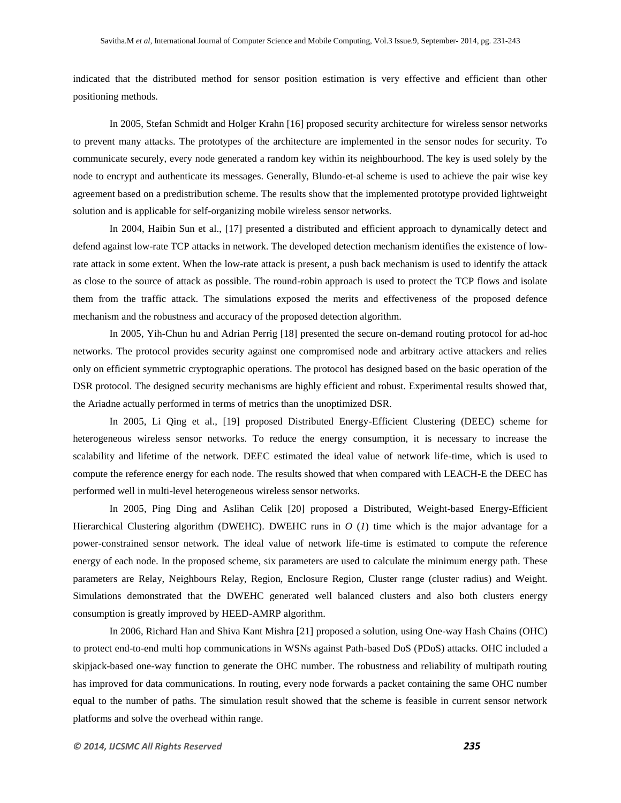indicated that the distributed method for sensor position estimation is very effective and efficient than other positioning methods.

In 2005, Stefan Schmidt and Holger Krahn [16] proposed security architecture for wireless sensor networks to prevent many attacks. The prototypes of the architecture are implemented in the sensor nodes for security. To communicate securely, every node generated a random key within its neighbourhood. The key is used solely by the node to encrypt and authenticate its messages. Generally, Blundo-et-al scheme is used to achieve the pair wise key agreement based on a predistribution scheme. The results show that the implemented prototype provided lightweight solution and is applicable for self-organizing mobile wireless sensor networks.

In 2004, Haibin Sun et al., [17] presented a distributed and efficient approach to dynamically detect and defend against low-rate TCP attacks in network. The developed detection mechanism identifies the existence of lowrate attack in some extent. When the low-rate attack is present, a push back mechanism is used to identify the attack as close to the source of attack as possible. The round-robin approach is used to protect the TCP flows and isolate them from the traffic attack. The simulations exposed the merits and effectiveness of the proposed defence mechanism and the robustness and accuracy of the proposed detection algorithm.

In 2005, Yih-Chun hu and Adrian Perrig [18] presented the secure on-demand routing protocol for ad-hoc networks. The protocol provides security against one compromised node and arbitrary active attackers and relies only on efficient symmetric cryptographic operations. The protocol has designed based on the basic operation of the DSR protocol. The designed security mechanisms are highly efficient and robust. Experimental results showed that, the Ariadne actually performed in terms of metrics than the unoptimized DSR.

In 2005, Li Qing et al., [19] proposed Distributed Energy-Efficient Clustering (DEEC) scheme for heterogeneous wireless sensor networks. To reduce the energy consumption, it is necessary to increase the scalability and lifetime of the network. DEEC estimated the ideal value of network life-time, which is used to compute the reference energy for each node. The results showed that when compared with LEACH-E the DEEC has performed well in multi-level heterogeneous wireless sensor networks.

In 2005, Ping Ding and Aslihan Celik [20] proposed a Distributed, Weight-based Energy-Efficient Hierarchical Clustering algorithm (DWEHC). DWEHC runs in *O* (*1*) time which is the major advantage for a power-constrained sensor network. The ideal value of network life-time is estimated to compute the reference energy of each node. In the proposed scheme, six parameters are used to calculate the minimum energy path. These parameters are Relay, Neighbours Relay, Region, Enclosure Region, Cluster range (cluster radius) and Weight. Simulations demonstrated that the DWEHC generated well balanced clusters and also both clusters energy consumption is greatly improved by HEED-AMRP algorithm.

In 2006, Richard Han and Shiva Kant Mishra [21] proposed a solution, using One-way Hash Chains (OHC) to protect end-to-end multi hop communications in WSNs against Path-based DoS (PDoS) attacks. OHC included a skipjack-based one-way function to generate the OHC number. The robustness and reliability of multipath routing has improved for data communications. In routing, every node forwards a packet containing the same OHC number equal to the number of paths. The simulation result showed that the scheme is feasible in current sensor network platforms and solve the overhead within range.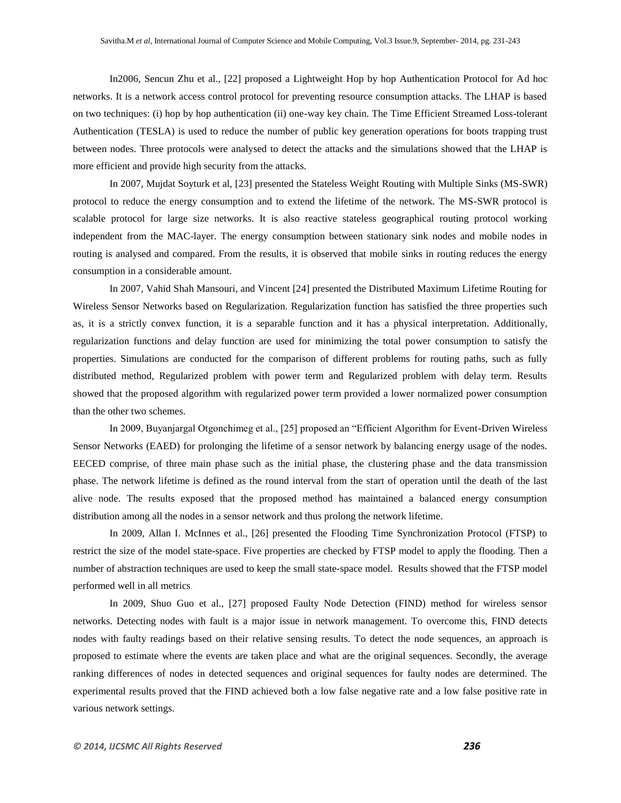In2006, Sencun Zhu et al., [22] proposed a Lightweight Hop by hop Authentication Protocol for Ad hoc networks. It is a network access control protocol for preventing resource consumption attacks. The LHAP is based on two techniques: (i) hop by hop authentication (ii) one-way key chain. The Time Efficient Streamed Loss-tolerant Authentication (TESLA) is used to reduce the number of public key generation operations for boots trapping trust between nodes. Three protocols were analysed to detect the attacks and the simulations showed that the LHAP is more efficient and provide high security from the attacks.

In 2007, Mujdat Soyturk et al, [23] presented the Stateless Weight Routing with Multiple Sinks (MS-SWR) protocol to reduce the energy consumption and to extend the lifetime of the network. The MS-SWR protocol is scalable protocol for large size networks. It is also reactive stateless geographical routing protocol working independent from the MAC-layer. The energy consumption between stationary sink nodes and mobile nodes in routing is analysed and compared. From the results, it is observed that mobile sinks in routing reduces the energy consumption in a considerable amount.

In 2007, Vahid Shah Mansouri, and Vincent [24] presented the Distributed Maximum Lifetime Routing for Wireless Sensor Networks based on Regularization. Regularization function has satisfied the three properties such as, it is a strictly convex function, it is a separable function and it has a physical interpretation. Additionally, regularization functions and delay function are used for minimizing the total power consumption to satisfy the properties. Simulations are conducted for the comparison of different problems for routing paths, such as fully distributed method, Regularized problem with power term and Regularized problem with delay term. Results showed that the proposed algorithm with regularized power term provided a lower normalized power consumption than the other two schemes.

In 2009, Buyanjargal Otgonchimeg et al., [25] proposed an "Efficient Algorithm for Event-Driven Wireless Sensor Networks (EAED) for prolonging the lifetime of a sensor network by balancing energy usage of the nodes. EECED comprise, of three main phase such as the initial phase, the clustering phase and the data transmission phase. The network lifetime is defined as the round interval from the start of operation until the death of the last alive node. The results exposed that the proposed method has maintained a balanced energy consumption distribution among all the nodes in a sensor network and thus prolong the network lifetime.

In 2009, Allan I. McInnes et al., [26] presented the Flooding Time Synchronization Protocol (FTSP) to restrict the size of the model state-space. Five properties are checked by FTSP model to apply the flooding. Then a number of abstraction techniques are used to keep the small state-space model. Results showed that the FTSP model performed well in all metrics.

In 2009, Shuo Guo et al., [27] proposed Faulty Node Detection (FIND) method for wireless sensor networks. Detecting nodes with fault is a major issue in network management. To overcome this, FIND detects nodes with faulty readings based on their relative sensing results. To detect the node sequences, an approach is proposed to estimate where the events are taken place and what are the original sequences. Secondly, the average ranking differences of nodes in detected sequences and original sequences for faulty nodes are determined. The experimental results proved that the FIND achieved both a low false negative rate and a low false positive rate in various network settings.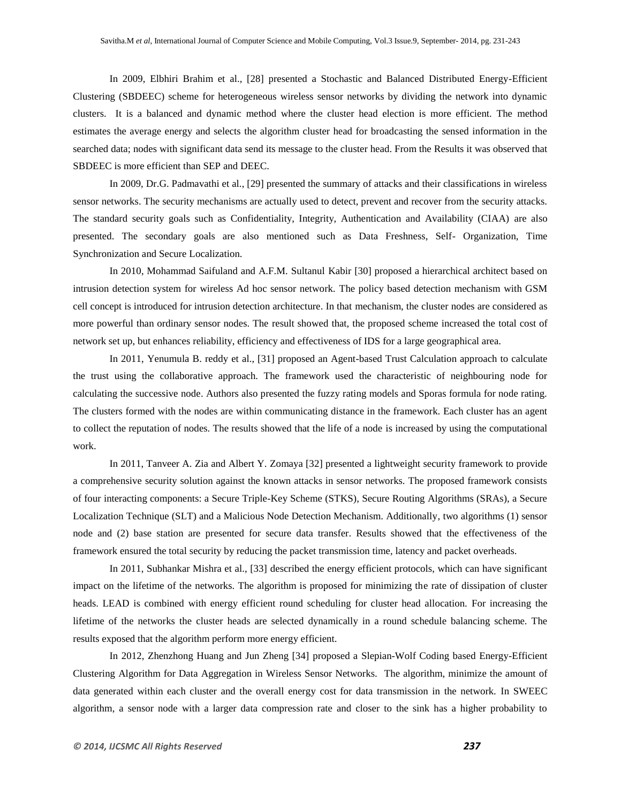In 2009, Elbhiri Brahim et al., [28] presented a Stochastic and Balanced Distributed Energy-Efficient Clustering (SBDEEC) scheme for heterogeneous wireless sensor networks by dividing the network into dynamic clusters. It is a balanced and dynamic method where the cluster head election is more efficient. The method estimates the average energy and selects the algorithm cluster head for broadcasting the sensed information in the searched data; nodes with significant data send its message to the cluster head. From the Results it was observed that SBDEEC is more efficient than SEP and DEEC.

In 2009, Dr.G. Padmavathi et al., [29] presented the summary of attacks and their classifications in wireless sensor networks. The security mechanisms are actually used to detect, prevent and recover from the security attacks. The standard security goals such as Confidentiality, Integrity, Authentication and Availability (CIAA) are also presented. The secondary goals are also mentioned such as Data Freshness, Self- Organization, Time Synchronization and Secure Localization.

In 2010, Mohammad Saifuland and A.F.M. Sultanul Kabir [30] proposed a hierarchical architect based on intrusion detection system for wireless Ad hoc sensor network. The policy based detection mechanism with GSM cell concept is introduced for intrusion detection architecture. In that mechanism, the cluster nodes are considered as more powerful than ordinary sensor nodes. The result showed that, the proposed scheme increased the total cost of network set up, but enhances reliability, efficiency and effectiveness of IDS for a large geographical area.

In 2011, Yenumula B. reddy et al., [31] proposed an Agent-based Trust Calculation approach to calculate the trust using the collaborative approach. The framework used the characteristic of neighbouring node for calculating the successive node. Authors also presented the fuzzy rating models and Sporas formula for node rating. The clusters formed with the nodes are within communicating distance in the framework. Each cluster has an agent to collect the reputation of nodes. The results showed that the life of a node is increased by using the computational work.

In 2011, Tanveer A. Zia and Albert Y. Zomaya [32] presented a lightweight security framework to provide a comprehensive security solution against the known attacks in sensor networks. The proposed framework consists of four interacting components: a Secure Triple-Key Scheme (STKS), Secure Routing Algorithms (SRAs), a Secure Localization Technique (SLT) and a Malicious Node Detection Mechanism. Additionally, two algorithms (1) sensor node and (2) base station are presented for secure data transfer. Results showed that the effectiveness of the framework ensured the total security by reducing the packet transmission time, latency and packet overheads.

In 2011, Subhankar Mishra et al., [33] described the energy efficient protocols, which can have significant impact on the lifetime of the networks. The algorithm is proposed for minimizing the rate of dissipation of cluster heads. LEAD is combined with energy efficient round scheduling for cluster head allocation. For increasing the lifetime of the networks the cluster heads are selected dynamically in a round schedule balancing scheme. The results exposed that the algorithm perform more energy efficient.

In 2012, Zhenzhong Huang and Jun Zheng [34] proposed a Slepian-Wolf Coding based Energy-Efficient Clustering Algorithm for Data Aggregation in Wireless Sensor Networks. The algorithm, minimize the amount of data generated within each cluster and the overall energy cost for data transmission in the network. In SWEEC algorithm, a sensor node with a larger data compression rate and closer to the sink has a higher probability to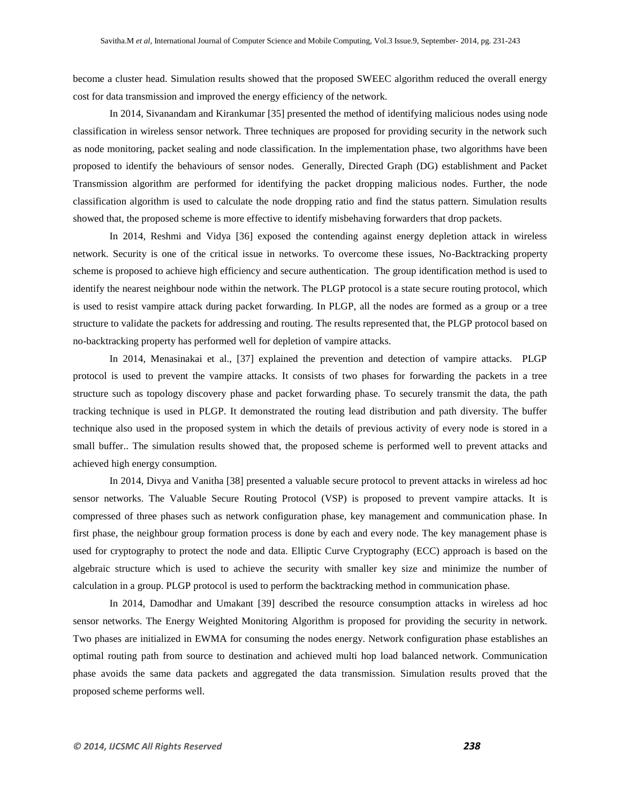become a cluster head. Simulation results showed that the proposed SWEEC algorithm reduced the overall energy cost for data transmission and improved the energy efficiency of the network.

In 2014, Sivanandam and Kirankumar [35] presented the method of identifying malicious nodes using node classification in wireless sensor network. Three techniques are proposed for providing security in the network such as node monitoring, packet sealing and node classification. In the implementation phase, two algorithms have been proposed to identify the behaviours of sensor nodes. Generally, Directed Graph (DG) establishment and Packet Transmission algorithm are performed for identifying the packet dropping malicious nodes. Further, the node classification algorithm is used to calculate the node dropping ratio and find the status pattern. Simulation results showed that, the proposed scheme is more effective to identify misbehaving forwarders that drop packets.

In 2014, Reshmi and Vidya [36] exposed the contending against energy depletion attack in wireless network. Security is one of the critical issue in networks. To overcome these issues, No-Backtracking property scheme is proposed to achieve high efficiency and secure authentication. The group identification method is used to identify the nearest neighbour node within the network. The PLGP protocol is a state secure routing protocol, which is used to resist vampire attack during packet forwarding. In PLGP, all the nodes are formed as a group or a tree structure to validate the packets for addressing and routing. The results represented that, the PLGP protocol based on no-backtracking property has performed well for depletion of vampire attacks.

In 2014, Menasinakai et al., [37] explained the prevention and detection of vampire attacks. PLGP protocol is used to prevent the vampire attacks. It consists of two phases for forwarding the packets in a tree structure such as topology discovery phase and packet forwarding phase. To securely transmit the data, the path tracking technique is used in PLGP. It demonstrated the routing lead distribution and path diversity. The buffer technique also used in the proposed system in which the details of previous activity of every node is stored in a small buffer.. The simulation results showed that, the proposed scheme is performed well to prevent attacks and achieved high energy consumption.

In 2014, Divya and Vanitha [38] presented a valuable secure protocol to prevent attacks in wireless ad hoc sensor networks. The Valuable Secure Routing Protocol (VSP) is proposed to prevent vampire attacks. It is compressed of three phases such as network configuration phase, key management and communication phase. In first phase, the neighbour group formation process is done by each and every node. The key management phase is used for cryptography to protect the node and data. Elliptic Curve Cryptography (ECC) approach is based on the algebraic structure which is used to achieve the security with smaller key size and minimize the number of calculation in a group. PLGP protocol is used to perform the backtracking method in communication phase.

In 2014, Damodhar and Umakant [39] described the resource consumption attacks in wireless ad hoc sensor networks. The Energy Weighted Monitoring Algorithm is proposed for providing the security in network. Two phases are initialized in EWMA for consuming the nodes energy. Network configuration phase establishes an optimal routing path from source to destination and achieved multi hop load balanced network. Communication phase avoids the same data packets and aggregated the data transmission. Simulation results proved that the proposed scheme performs well.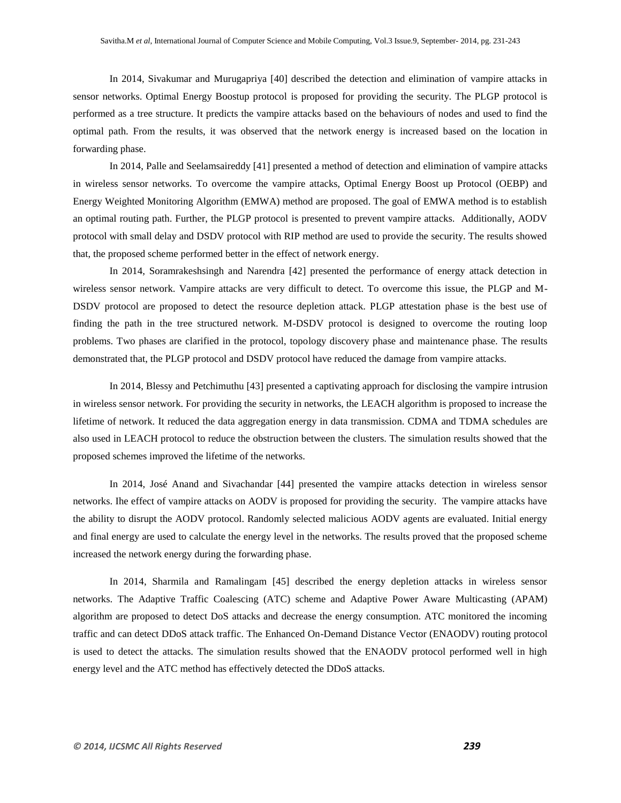In 2014, Sivakumar and Murugapriya [40] described the detection and elimination of vampire attacks in sensor networks. Optimal Energy Boostup protocol is proposed for providing the security. The PLGP protocol is performed as a tree structure. It predicts the vampire attacks based on the behaviours of nodes and used to find the optimal path. From the results, it was observed that the network energy is increased based on the location in forwarding phase.

In 2014, Palle and Seelamsaireddy [41] presented a method of detection and elimination of vampire attacks in wireless sensor networks. To overcome the vampire attacks, Optimal Energy Boost up Protocol (OEBP) and Energy Weighted Monitoring Algorithm (EMWA) method are proposed. The goal of EMWA method is to establish an optimal routing path. Further, the PLGP protocol is presented to prevent vampire attacks. Additionally, AODV protocol with small delay and DSDV protocol with RIP method are used to provide the security. The results showed that, the proposed scheme performed better in the effect of network energy.

In 2014, Soramrakeshsingh and Narendra [42] presented the performance of energy attack detection in wireless sensor network. Vampire attacks are very difficult to detect. To overcome this issue, the PLGP and M-DSDV protocol are proposed to detect the resource depletion attack. PLGP attestation phase is the best use of finding the path in the tree structured network. M-DSDV protocol is designed to overcome the routing loop problems. Two phases are clarified in the protocol, topology discovery phase and maintenance phase. The results demonstrated that, the PLGP protocol and DSDV protocol have reduced the damage from vampire attacks.

In 2014, Blessy and Petchimuthu [43] presented a captivating approach for disclosing the vampire intrusion in wireless sensor network. For providing the security in networks, the LEACH algorithm is proposed to increase the lifetime of network. It reduced the data aggregation energy in data transmission. CDMA and TDMA schedules are also used in LEACH protocol to reduce the obstruction between the clusters. The simulation results showed that the proposed schemes improved the lifetime of the networks.

In 2014, José Anand and Sivachandar [44] presented the vampire attacks detection in wireless sensor networks. Ihe effect of vampire attacks on AODV is proposed for providing the security. The vampire attacks have the ability to disrupt the AODV protocol. Randomly selected malicious AODV agents are evaluated. Initial energy and final energy are used to calculate the energy level in the networks. The results proved that the proposed scheme increased the network energy during the forwarding phase.

In 2014, Sharmila and Ramalingam [45] described the energy depletion attacks in wireless sensor networks. The Adaptive Traffic Coalescing (ATC) scheme and Adaptive Power Aware Multicasting (APAM) algorithm are proposed to detect DoS attacks and decrease the energy consumption. ATC monitored the incoming traffic and can detect DDoS attack traffic. The Enhanced On-Demand Distance Vector (ENAODV) routing protocol is used to detect the attacks. The simulation results showed that the ENAODV protocol performed well in high energy level and the ATC method has effectively detected the DDoS attacks.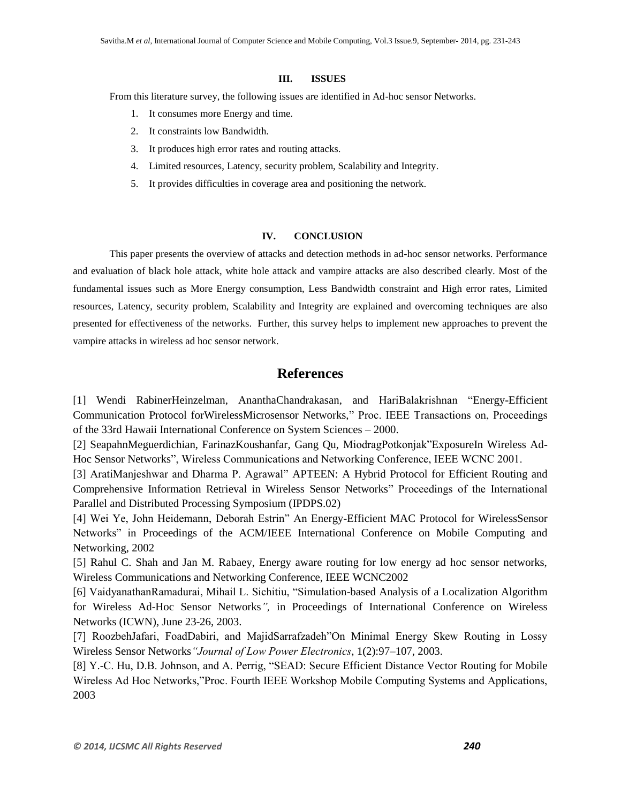## **III. ISSUES**

From this literature survey, the following issues are identified in Ad-hoc sensor Networks.

- 1. It consumes more Energy and time.
- 2. It constraints low Bandwidth.
- 3. It produces high error rates and routing attacks.
- 4. Limited resources, Latency, security problem, Scalability and Integrity.
- 5. It provides difficulties in coverage area and positioning the network.

## **IV. CONCLUSION**

This paper presents the overview of attacks and detection methods in ad-hoc sensor networks. Performance and evaluation of black hole attack, white hole attack and vampire attacks are also described clearly. Most of the fundamental issues such as More Energy consumption, Less Bandwidth constraint and High error rates, Limited resources, Latency, security problem, Scalability and Integrity are explained and overcoming techniques are also presented for effectiveness of the networks. Further, this survey helps to implement new approaches to prevent the vampire attacks in wireless ad hoc sensor network.

# **References**

[1] Wendi RabinerHeinzelman, AnanthaChandrakasan, and HariBalakrishnan "Energy-Efficient Communication Protocol forWirelessMicrosensor Networks," Proc. IEEE Transactions on, Proceedings of the 33rd Hawaii International Conference on System Sciences – 2000.

[2] SeapahnMeguerdichian, FarinazKoushanfar, Gang Qu, MiodragPotkonjak"ExposureIn Wireless Ad-Hoc Sensor Networks", Wireless Communications and Networking Conference, IEEE WCNC 2001.

[3] AratiManjeshwar and Dharma P. Agrawal" APTEEN: A Hybrid Protocol for Efficient Routing and Comprehensive Information Retrieval in Wireless Sensor Networks" Proceedings of the International Parallel and Distributed Processing Symposium (IPDPS.02)

[4] Wei Ye, John Heidemann, Deborah Estrin" An Energy-Efficient MAC Protocol for WirelessSensor Networks" in Proceedings of the ACM/IEEE International Conference on Mobile Computing and Networking, 2002

[5] Rahul C. Shah and Jan M. Rabaey, Energy aware routing for low energy ad hoc sensor networks, Wireless Communications and Networking Conference, IEEE WCNC2002

[6] VaidyanathanRamadurai, Mihail L. Sichitiu, "Simulation-based Analysis of a Localization Algorithm for Wireless Ad-Hoc Sensor Networks*",* in Proceedings of International Conference on Wireless Networks (ICWN), June 23-26, 2003.

[7] RoozbehJafari, FoadDabiri, and MajidSarrafzadeh"On Minimal Energy Skew Routing in Lossy Wireless Sensor Networks*"Journal of Low Power Electronics*, 1(2):97–107, 2003.

[8] Y.-C. Hu, D.B. Johnson, and A. Perrig, "SEAD: Secure Efficient Distance Vector Routing for Mobile Wireless Ad Hoc Networks,"Proc. Fourth IEEE Workshop Mobile Computing Systems and Applications, 2003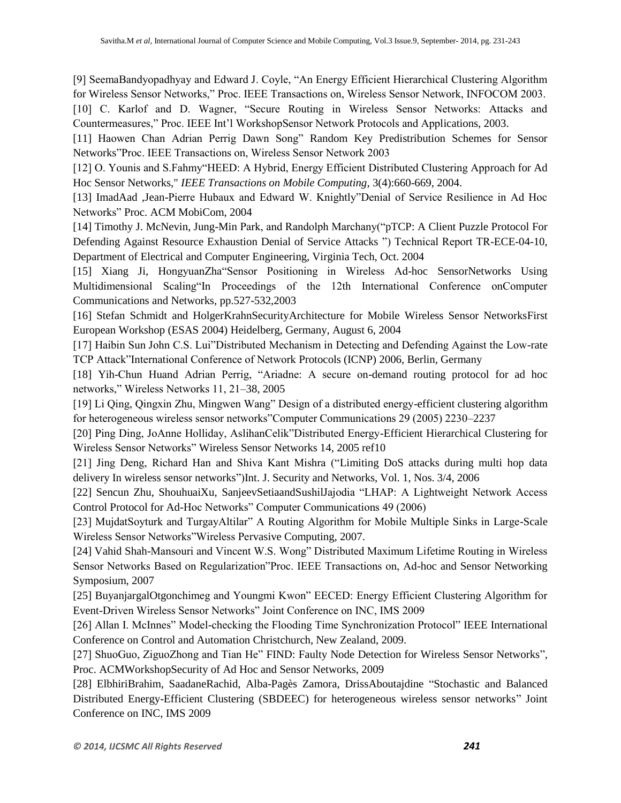[9] SeemaBandyopadhyay and Edward J. Coyle, "An Energy Efficient Hierarchical Clustering Algorithm for Wireless Sensor Networks," Proc. IEEE Transactions on, Wireless Sensor Network, INFOCOM 2003.

[10] C. Karlof and D. Wagner, "Secure Routing in Wireless Sensor Networks: Attacks and Countermeasures," Proc. IEEE Int'l WorkshopSensor Network Protocols and Applications, 2003.

[11] Haowen Chan Adrian Perrig Dawn Song" Random Key Predistribution Schemes for Sensor Networks"Proc. IEEE Transactions on, Wireless Sensor Network 2003

[12] O. Younis and S.Fahmy"HEED: A Hybrid, Energy Efficient Distributed Clustering Approach for Ad Hoc Sensor Networks," *IEEE Transactions on Mobile Computing*, 3(4):660-669, 2004.

[13] ImadAad ,Jean-Pierre Hubaux and Edward W. Knightly"Denial of Service Resilience in Ad Hoc Networks" Proc. ACM MobiCom, 2004

[14] Timothy J. McNevin, Jung-Min Park, and Randolph Marchany("pTCP: A Client Puzzle Protocol For Defending Against Resource Exhaustion Denial of Service Attacks ") Technical Report TR-ECE-04-10, Department of Electrical and Computer Engineering, Virginia Tech, Oct. 2004

[15] Xiang Ji, HongyuanZha"Sensor Positioning in Wireless Ad-hoc SensorNetworks Using Multidimensional Scaling"In Proceedings of the 12th International Conference onComputer Communications and Networks, pp.527-532,2003

[16] Stefan Schmidt and HolgerKrahnSecurityArchitecture for Mobile Wireless Sensor NetworksFirst European Workshop (ESAS 2004) Heidelberg, Germany, August 6, 2004

[17] Haibin Sun John C.S. Lui"Distributed Mechanism in Detecting and Defending Against the Low-rate TCP Attack"International Conference of Network Protocols (ICNP) 2006, Berlin, Germany

[18] Yih-Chun Huand Adrian Perrig, "Ariadne: A secure on-demand routing protocol for ad hoc networks," Wireless Networks 11, 21–38, 2005

[19] Li Qing, Qingxin Zhu, Mingwen Wang" Design of a distributed energy-efficient clustering algorithm for heterogeneous wireless sensor networks"Computer Communications 29 (2005) 2230–2237

[20] Ping Ding, JoAnne Holliday, AslihanCelik"Distributed Energy-Efficient Hierarchical Clustering for Wireless Sensor Networks" Wireless Sensor Networks 14, 2005 ref10

[21] Jing Deng, Richard Han and Shiva Kant Mishra ("Limiting DoS attacks during multi hop data delivery In wireless sensor networks")Int. J. Security and Networks, Vol. 1, Nos. 3/4, 2006

[22] Sencun Zhu, ShouhuaiXu, SanjeevSetiaandSushilJajodia "LHAP: A Lightweight Network Access Control Protocol for Ad-Hoc Networks" Computer Communications 49 (2006)

[23] MujdatSoyturk and TurgayAltilar" A Routing Algorithm for Mobile Multiple Sinks in Large-Scale Wireless Sensor Networks"Wireless Pervasive Computing, 2007.

[24] Vahid Shah-Mansouri and Vincent W.S. Wong" Distributed Maximum Lifetime Routing in Wireless Sensor Networks Based on Regularization"Proc. IEEE Transactions on, Ad-hoc and Sensor Networking Symposium, 2007

[25] BuyanjargalOtgonchimeg and Youngmi Kwon" EECED: Energy Efficient Clustering Algorithm for Event-Driven Wireless Sensor Networks" Joint Conference on INC, IMS 2009

[26] Allan I. McInnes" Model-checking the Flooding Time Synchronization Protocol" IEEE International Conference on Control and Automation Christchurch, New Zealand, 2009.

[27] ShuoGuo, ZiguoZhong and Tian He" FIND: Faulty Node Detection for Wireless Sensor Networks"*,* Proc. ACMWorkshopSecurity of Ad Hoc and Sensor Networks, 2009

[28] ElbhiriBrahim, SaadaneRachid, Alba-Pagès Zamora, DrissAboutajdine "Stochastic and Balanced Distributed Energy-Efficient Clustering (SBDEEC) for heterogeneous wireless sensor networks" Joint Conference on INC, IMS 2009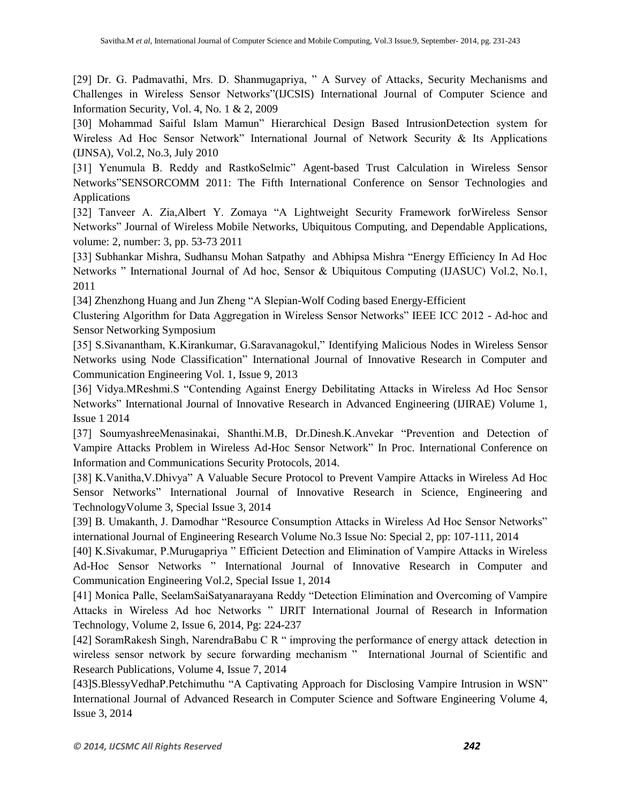[29] Dr. G. Padmavathi, Mrs. D. Shanmugapriya, " A Survey of Attacks, Security Mechanisms and Challenges in Wireless Sensor Networks"(IJCSIS) International Journal of Computer Science and Information Security, Vol. 4, No. 1 & 2, 2009

[30] Mohammad Saiful Islam Mamun" Hierarchical Design Based IntrusionDetection system for Wireless Ad Hoc Sensor Network" International Journal of Network Security & Its Applications (IJNSA), Vol.2, No.3, July 2010

[31] Yenumula B. Reddy and RastkoSelmic" Agent-based Trust Calculation in Wireless Sensor Networks"SENSORCOMM 2011: The Fifth International Conference on Sensor Technologies and Applications

[32] Tanveer A. Zia,Albert Y. Zomaya "A Lightweight Security Framework forWireless Sensor Networks" Journal of Wireless Mobile Networks, Ubiquitous Computing, and Dependable Applications, volume: 2, number: 3, pp. 53-73 2011

[33] Subhankar Mishra, Sudhansu Mohan Satpathy and Abhipsa Mishra "Energy Efficiency In Ad Hoc Networks " International Journal of Ad hoc, Sensor & Ubiquitous Computing (IJASUC) Vol.2, No.1, 2011

[34] Zhenzhong Huang and Jun Zheng "A Slepian-Wolf Coding based Energy-Efficient

Clustering Algorithm for Data Aggregation in Wireless Sensor Networks" IEEE ICC 2012 - Ad-hoc and Sensor Networking Symposium

[35] S.Sivanantham, K.Kirankumar, G.Saravanagokul," Identifying Malicious Nodes in Wireless Sensor Networks using Node Classification" International Journal of Innovative Research in Computer and Communication Engineering Vol. 1, Issue 9, 2013

[36] Vidya.MReshmi.S "Contending Against Energy Debilitating Attacks in Wireless Ad Hoc Sensor Networks" International Journal of Innovative Research in Advanced Engineering (IJIRAE) Volume 1, Issue 1 2014

[37] SoumyashreeMenasinakai, Shanthi.M.B, Dr.Dinesh.K.Anvekar "Prevention and Detection of Vampire Attacks Problem in Wireless Ad-Hoc Sensor Network" In Proc. International Conference on Information and Communications Security Protocols, 2014.

[38] K.Vanitha,V.Dhivya" A Valuable Secure Protocol to Prevent Vampire Attacks in Wireless Ad Hoc Sensor Networks" International Journal of Innovative Research in Science, Engineering and TechnologyVolume 3, Special Issue 3, 2014

[39] B. Umakanth, J. Damodhar "Resource Consumption Attacks in Wireless Ad Hoc Sensor Networks" international Journal of Engineering Research Volume No.3 Issue No: Special 2, pp: 107-111, 2014

[40] K.Sivakumar, P.Murugapriya " Efficient Detection and Elimination of Vampire Attacks in Wireless Ad-Hoc Sensor Networks " International Journal of Innovative Research in Computer and Communication Engineering Vol.2, Special Issue 1, 2014

[41] Monica Palle, SeelamSaiSatyanarayana Reddy "Detection Elimination and Overcoming of Vampire Attacks in Wireless Ad hoc Networks " IJRIT International Journal of Research in Information Technology, Volume 2, Issue 6, 2014, Pg: 224-237

[42] SoramRakesh Singh, NarendraBabu C R " improving the performance of energy attack detection in wireless sensor network by secure forwarding mechanism " International Journal of Scientific and Research Publications, Volume 4, Issue 7, 2014

[43]S.BlessyVedhaP.Petchimuthu "A Captivating Approach for Disclosing Vampire Intrusion in WSN" International Journal of Advanced Research in Computer Science and Software Engineering Volume 4, Issue 3, 2014